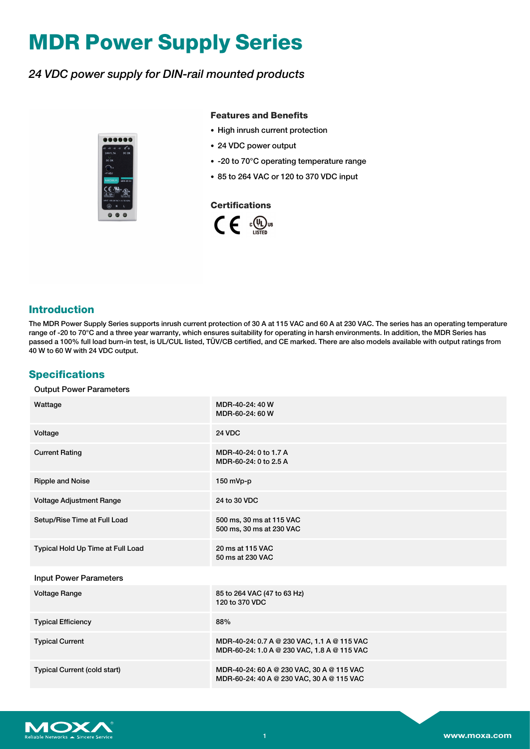# **MDR Power Supply Series**

## *24 VDC power supply for DIN-rail mounted products*



#### **Features and Benefits**

- High inrush current protection
- 24 VDC power output
- -20 to 70°C operating temperature range
- 85 to 264 VAC or 120 to 370 VDC input



#### **Introduction**

The MDR Power Supply Series supports inrush current protection of 30 A at 115 VAC and 60 A at 230 VAC. The series has an operating temperature range of -20 to 70°C and a three year warranty, which ensures suitability for operating in harsh environments. In addition, the MDR Series has passed a 100% full load burn-in test, is UL/CUL listed, TÜV/CB certified, and CE marked. There are also models available with output ratings from 40 W to 60 W with 24 VDC output.

### **Specifications**

#### Output Power Parameters

| Wattage                             | MDR-40-24: 40 W<br>MDR-60-24: 60 W                                                         |
|-------------------------------------|--------------------------------------------------------------------------------------------|
| Voltage                             | <b>24 VDC</b>                                                                              |
| <b>Current Rating</b>               | MDR-40-24: 0 to 1.7 A<br>MDR-60-24: 0 to 2.5 A                                             |
| <b>Ripple and Noise</b>             | $150$ mVp-p                                                                                |
| Voltage Adjustment Range            | 24 to 30 VDC                                                                               |
| Setup/Rise Time at Full Load        | 500 ms, 30 ms at 115 VAC<br>500 ms, 30 ms at 230 VAC                                       |
| Typical Hold Up Time at Full Load   | 20 ms at 115 VAC<br>50 ms at 230 VAC                                                       |
| <b>Input Power Parameters</b>       |                                                                                            |
| <b>Voltage Range</b>                | 85 to 264 VAC (47 to 63 Hz)<br>120 to 370 VDC                                              |
| <b>Typical Efficiency</b>           | 88%                                                                                        |
| <b>Typical Current</b>              | MDR-40-24: 0.7 A @ 230 VAC, 1.1 A @ 115 VAC<br>MDR-60-24: 1.0 A @ 230 VAC, 1.8 A @ 115 VAC |
| <b>Typical Current (cold start)</b> | MDR-40-24: 60 A @ 230 VAC, 30 A @ 115 VAC<br>MDR-60-24: 40 A @ 230 VAC, 30 A @ 115 VAC     |